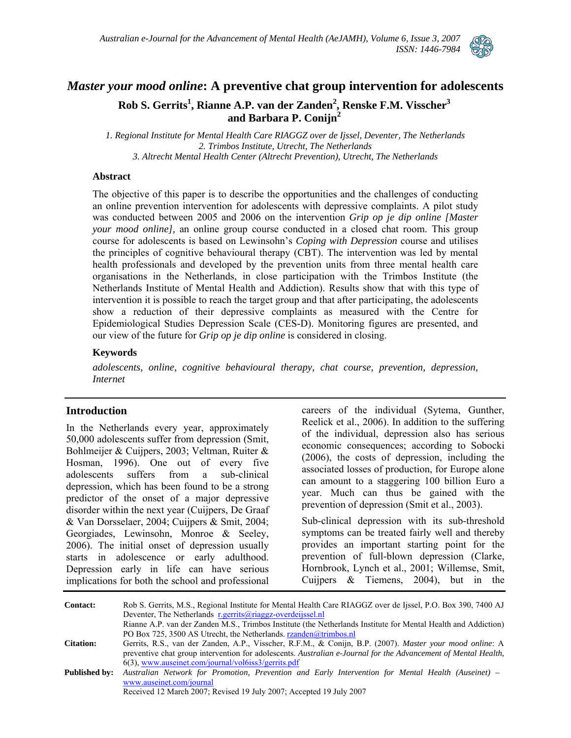

# *Master your mood online***: A preventive chat group intervention for adolescents**

 $\text{Rob S. Gerrits}^1, \text{Rianne A.P.}$  van der Zanden<sup>2</sup>, Renske F.M. Visscher<sup>3</sup> **and Barbara P. Conijn2**

*1. Regional Institute for Mental Health Care RIAGGZ over de Ijssel, Deventer, The Netherlands 2. Trimbos Institute, Utrecht, The Netherlands 3. Altrecht Mental Health Center (Altrecht Prevention), Utrecht, The Netherlands* 

#### **Abstract**

The objective of this paper is to describe the opportunities and the challenges of conducting an online prevention intervention for adolescents with depressive complaints. A pilot study was conducted between 2005 and 2006 on the intervention *Grip op je dip online [Master your mood online]*, an online group course conducted in a closed chat room. This group course for adolescents is based on Lewinsohn's *Coping with Depression* course and utilises the principles of cognitive behavioural therapy (CBT). The intervention was led by mental health professionals and developed by the prevention units from three mental health care organisations in the Netherlands, in close participation with the Trimbos Institute (the Netherlands Institute of Mental Health and Addiction). Results show that with this type of intervention it is possible to reach the target group and that after participating, the adolescents show a reduction of their depressive complaints as measured with the Centre for Epidemiological Studies Depression Scale (CES-D). Monitoring figures are presented, and our view of the future for *Grip op je dip online* is considered in closing.

#### **Keywords**

*adolescents, online, cognitive behavioural therapy, chat course, prevention, depression, Internet* 

#### **Introduction**

In the Netherlands every year, approximately 50,000 adolescents suffer from depression (Smit, Bohlmeijer & Cuijpers, 2003; Veltman, Ruiter & Hosman, 1996). One out of every five adolescents suffers from a sub-clinical depression, which has been found to be a strong predictor of the onset of a major depressive disorder within the next year (Cuijpers, De Graaf & Van Dorsselaer, 2004; Cuijpers & Smit, 2004; Georgiades, Lewinsohn, Monroe & Seeley, 2006). The initial onset of depression usually starts in adolescence or early adulthood. Depression early in life can have serious implications for both the school and professional

careers of the individual (Sytema, Gunther, Reelick et al., 2006). In addition to the suffering of the individual, depression also has serious economic consequences; according to Sobocki (2006), the costs of depression, including the associated losses of production, for Europe alone can amount to a staggering 100 billion Euro a year. Much can thus be gained with the prevention of depression (Smit et al., 2003).

Sub-clinical depression with its sub-threshold symptoms can be treated fairly well and thereby provides an important starting point for the prevention of full-blown depression (Clarke, Hornbrook, Lynch et al., 2001; Willemse, Smit, Cuijpers & Tiemens, 2004), but in the

| Contact:             | Rob S. Gerrits, M.S., Regional Institute for Mental Health Care RIAGGZ over de Ijssel, P.O. Box 390, 7400 AJ   |
|----------------------|----------------------------------------------------------------------------------------------------------------|
|                      | Deventer, The Netherlands $r.gerrits@riaggz-overdeiissel.nl$                                                   |
|                      | Rianne A.P. van der Zanden M.S., Trimbos Institute (the Netherlands Institute for Mental Health and Addiction) |
|                      | PO Box 725, 3500 AS Utrecht, the Netherlands. rzanden@trimbos.nl                                               |
| <b>Citation:</b>     | Gerrits, R.S., van der Zanden, A.P., Visscher, R.F.M., & Conijn, B.P. (2007). Master your mood online: A       |
|                      | preventive chat group intervention for adolescents. Australian e-Journal for the Advancement of Mental Health, |
|                      | 6(3), www.auseinet.com/journal/vol6iss3/gerrits.pdf                                                            |
| <b>Published by:</b> | Australian Network for Promotion, Prevention and Early Intervention for Mental Health (Auseinet) –             |
|                      | www.auseinet.com/journal                                                                                       |
|                      | Received 12 March 2007; Revised 19 July 2007; Accepted 19 July 2007                                            |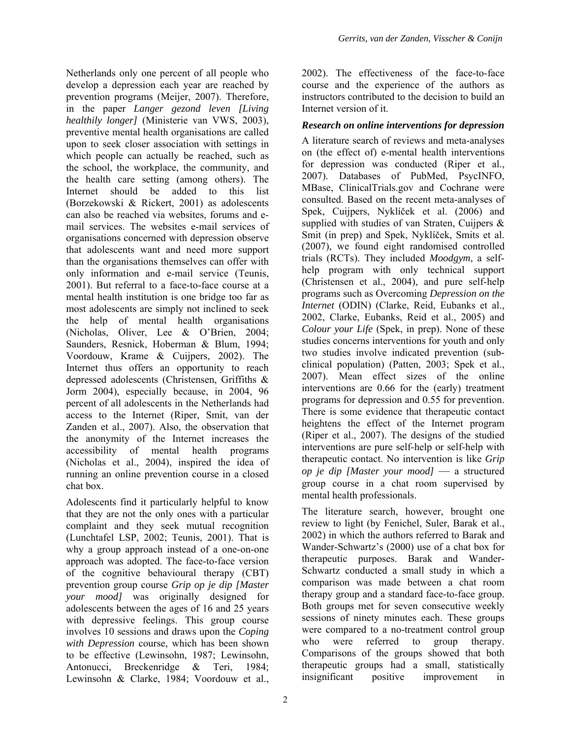Netherlands only one percent of all people who develop a depression each year are reached by prevention programs (Meijer, 2007). Therefore, in the paper *Langer gezond leven [Living healthily longer]* (Ministerie van VWS, 2003), preventive mental health organisations are called upon to seek closer association with settings in which people can actually be reached, such as the school, the workplace, the community, and the health care setting (among others). The Internet should be added to this list (Borzekowski & Rickert, 2001) as adolescents can also be reached via websites, forums and email services. The websites e-mail services of organisations concerned with depression observe that adolescents want and need more support than the organisations themselves can offer with only information and e-mail service (Teunis, 2001). But referral to a face-to-face course at a mental health institution is one bridge too far as most adolescents are simply not inclined to seek the help of mental health organisations (Nicholas, Oliver, Lee & O'Brien, 2004; Saunders, Resnick, Hoberman & Blum, 1994; Voordouw, Krame & Cuijpers, 2002). The Internet thus offers an opportunity to reach depressed adolescents (Christensen, Griffiths & Jorm 2004), especially because, in 2004, 96 percent of all adolescents in the Netherlands had access to the Internet (Riper, Smit, van der Zanden et al., 2007). Also, the observation that the anonymity of the Internet increases the accessibility of mental health programs (Nicholas et al., 2004), inspired the idea of running an online prevention course in a closed chat box.

Adolescents find it particularly helpful to know that they are not the only ones with a particular complaint and they seek mutual recognition (Lunchtafel LSP, 2002; Teunis, 2001). That is why a group approach instead of a one-on-one approach was adopted. The face-to-face version of the cognitive behavioural therapy (CBT) prevention group course *Grip op je dip [Master your mood]* was originally designed for adolescents between the ages of 16 and 25 years with depressive feelings. This group course involves 10 sessions and draws upon the *Coping with Depression* course, which has been shown to be effective (Lewinsohn, 1987; Lewinsohn, Antonucci, Breckenridge & Teri, 1984; Lewinsohn & Clarke, 1984; Voordouw et al.,

2002). The effectiveness of the face-to-face course and the experience of the authors as instructors contributed to the decision to build an Internet version of it.

#### *Research on online interventions for depression*

A literature search of reviews and meta-analyses on (the effect of) e-mental health interventions for depression was conducted (Riper et al., 2007). Databases of PubMed, PsycINFO, MBase, ClinicalTrials.gov and Cochrane were consulted. Based on the recent meta-analyses of Spek, Cuijpers, Nyklíček et al. (2006) and supplied with studies of van Straten, Cuijpers  $\&$ Smit (in prep) and Spek, Nyklíček, Smits et al. (2007), we found eight randomised controlled trials (RCTs). They included *Moodgym*, a selfhelp program with only technical support (Christensen et al., 2004), and pure self-help programs such as Overcoming *Depression on the Internet* (ODIN) (Clarke, Reid, Eubanks et al., 2002, Clarke, Eubanks, Reid et al., 2005) and *Colour your Life* (Spek, in prep). None of these studies concerns interventions for youth and only two studies involve indicated prevention (subclinical population) (Patten, 2003; Spek et al., 2007). Mean effect sizes of the online interventions are 0.66 for the (early) treatment programs for depression and 0.55 for prevention. There is some evidence that therapeutic contact heightens the effect of the Internet program (Riper et al., 2007). The designs of the studied interventions are pure self-help or self-help with therapeutic contact. No intervention is like *Grip op je dip [Master your mood]* — a structured group course in a chat room supervised by mental health professionals.

The literature search, however, brought one review to light (by Fenichel, Suler, Barak et al., 2002) in which the authors referred to Barak and Wander-Schwartz's (2000) use of a chat box for therapeutic purposes. Barak and Wander-Schwartz conducted a small study in which a comparison was made between a chat room therapy group and a standard face-to-face group. Both groups met for seven consecutive weekly sessions of ninety minutes each. These groups were compared to a no-treatment control group who were referred to group therapy. Comparisons of the groups showed that both therapeutic groups had a small, statistically insignificant positive improvement in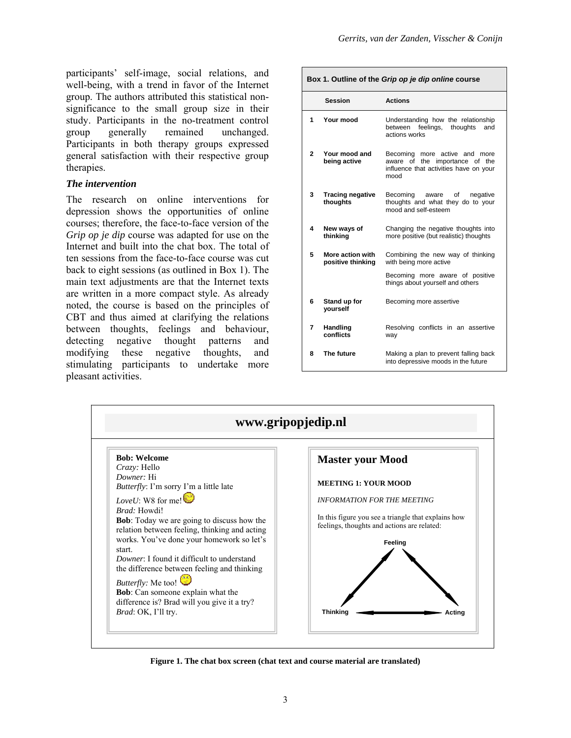participants' self-image, social relations, and well-being, with a trend in favor of the Internet group. The authors attributed this statistical nonsignificance to the small group size in their study. Participants in the no-treatment control group generally remained unchanged. Participants in both therapy groups expressed general satisfaction with their respective group therapies.

#### *The intervention*

The research on online interventions for depression shows the opportunities of online courses; therefore, the face-to-face version of the *Grip op je dip* course was adapted for use on the Internet and built into the chat box. The total of ten sessions from the face-to-face course was cut back to eight sessions (as outlined in Box 1). The main text adjustments are that the Internet texts are written in a more compact style. As already noted, the course is based on the principles of CBT and thus aimed at clarifying the relations between thoughts, feelings and behaviour, detecting negative thought patterns and modifying these negative thoughts, and stimulating participants to undertake more pleasant activities.

| Box 1. Outline of the Grip op je dip online course |                                       |                                                                                                                   |  |  |  |
|----------------------------------------------------|---------------------------------------|-------------------------------------------------------------------------------------------------------------------|--|--|--|
|                                                    | Session                               | <b>Actions</b>                                                                                                    |  |  |  |
| 1                                                  | Your mood                             | Understanding how the relationship<br>between<br>feelings, thoughts<br>and<br>actions works                       |  |  |  |
| $\overline{2}$                                     | Your mood and<br>being active         | Becoming more active and more<br>aware of the importance of the<br>influence that activities have on your<br>mood |  |  |  |
| 3                                                  | <b>Tracing negative</b><br>thoughts   | Becomina<br>aware<br>of negative<br>thoughts and what they do to your<br>mood and self-esteem                     |  |  |  |
| 4                                                  | New ways of<br>thinking               | Changing the negative thoughts into<br>more positive (but realistic) thoughts                                     |  |  |  |
| 5                                                  | More action with<br>positive thinking | Combining the new way of thinking<br>with being more active                                                       |  |  |  |
|                                                    |                                       | Becoming more aware of positive<br>things about yourself and others                                               |  |  |  |
| 6                                                  | Stand up for<br>vourself              | Becoming more assertive                                                                                           |  |  |  |
| 7                                                  | Handling<br>conflicts                 | Resolving conflicts in an assertive<br>way                                                                        |  |  |  |
| 8                                                  | The future                            | Making a plan to prevent falling back<br>into depressive moods in the future                                      |  |  |  |



**Figure 1. The chat box screen (chat text and course material are translated)**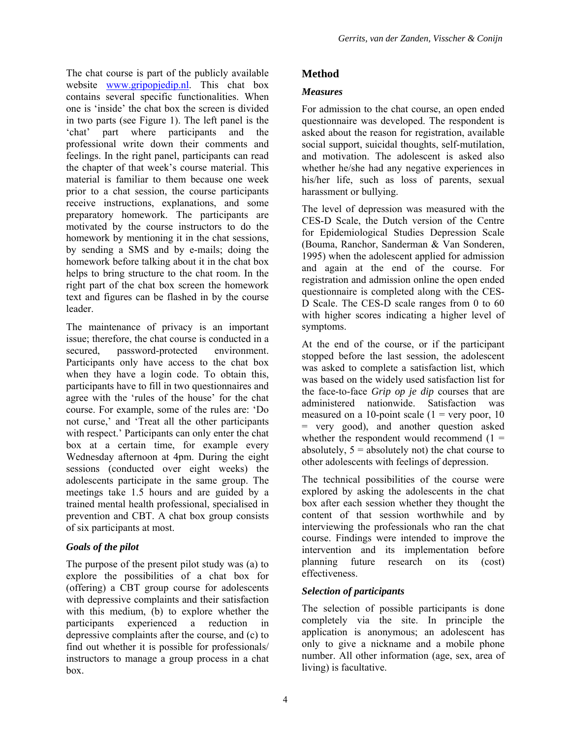The chat course is part of the publicly available website [www.gripopjedip.nl.](http://www.gripopjedip.nl/) This chat box contains several specific functionalities. When one is 'inside' the chat box the screen is divided in two parts (see Figure 1). The left panel is the 'chat' part where participants and the professional write down their comments and feelings. In the right panel, participants can read the chapter of that week's course material. This material is familiar to them because one week prior to a chat session, the course participants receive instructions, explanations, and some preparatory homework. The participants are motivated by the course instructors to do the homework by mentioning it in the chat sessions, by sending a SMS and by e-mails; doing the homework before talking about it in the chat box helps to bring structure to the chat room. In the right part of the chat box screen the homework text and figures can be flashed in by the course leader.

The maintenance of privacy is an important issue; therefore, the chat course is conducted in a secured, password-protected environment. Participants only have access to the chat box when they have a login code. To obtain this, participants have to fill in two questionnaires and agree with the 'rules of the house' for the chat course. For example, some of the rules are: 'Do not curse,' and 'Treat all the other participants with respect.' Participants can only enter the chat box at a certain time, for example every Wednesday afternoon at 4pm. During the eight sessions (conducted over eight weeks) the adolescents participate in the same group. The meetings take 1.5 hours and are guided by a trained mental health professional, specialised in prevention and CBT. A chat box group consists of six participants at most.

# *Goals of the pilot*

The purpose of the present pilot study was (a) to explore the possibilities of a chat box for (offering) a CBT group course for adolescents with depressive complaints and their satisfaction with this medium, (b) to explore whether the participants experienced a reduction in depressive complaints after the course, and (c) to find out whether it is possible for professionals/ instructors to manage a group process in a chat box.

# **Method**

### *Measures*

For admission to the chat course, an open ended questionnaire was developed. The respondent is asked about the reason for registration, available social support, suicidal thoughts, self-mutilation, and motivation. The adolescent is asked also whether he/she had any negative experiences in his/her life, such as loss of parents, sexual harassment or bullying.

The level of depression was measured with the CES-D Scale, the Dutch version of the Centre for Epidemiological Studies Depression Scale (Bouma, Ranchor, Sanderman & Van Sonderen, 1995) when the adolescent applied for admission and again at the end of the course. For registration and admission online the open ended questionnaire is completed along with the CES-D Scale. The CES-D scale ranges from 0 to 60 with higher scores indicating a higher level of symptoms.

At the end of the course, or if the participant stopped before the last session, the adolescent was asked to complete a satisfaction list, which was based on the widely used satisfaction list for the face-to-face *Grip op je dip* courses that are administered nationwide. Satisfaction was measured on a 10-point scale  $(1 = \text{very poor}, 10)$ = very good), and another question asked whether the respondent would recommend  $(1 =$ absolutely,  $5 =$  absolutely not) the chat course to other adolescents with feelings of depression.

The technical possibilities of the course were explored by asking the adolescents in the chat box after each session whether they thought the content of that session worthwhile and by interviewing the professionals who ran the chat course. Findings were intended to improve the intervention and its implementation before planning future research on its (cost) effectiveness.

# *Selection of participants*

The selection of possible participants is done completely via the site. In principle the application is anonymous; an adolescent has only to give a nickname and a mobile phone number. All other information (age, sex, area of living) is facultative.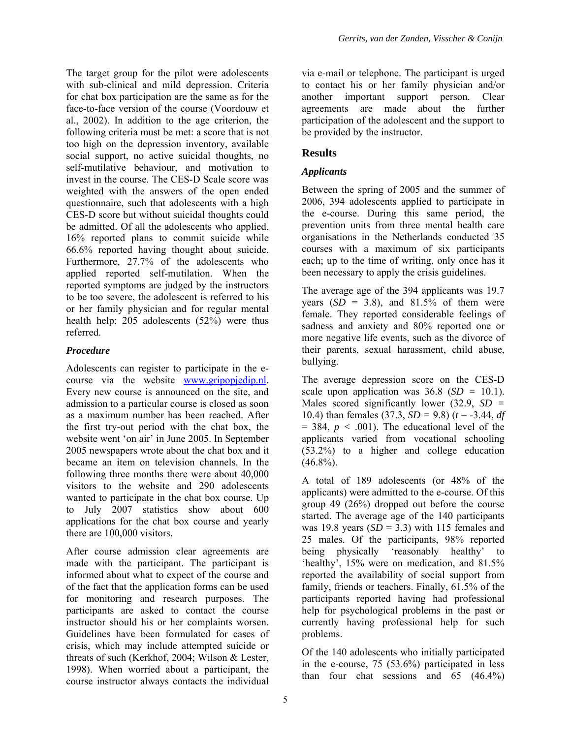The target group for the pilot were adolescents with sub-clinical and mild depression. Criteria for chat box participation are the same as for the face-to-face version of the course (Voordouw et al., 2002). In addition to the age criterion, the following criteria must be met: a score that is not too high on the depression inventory, available social support, no active suicidal thoughts, no self-mutilative behaviour, and motivation to invest in the course. The CES-D Scale score was weighted with the answers of the open ended questionnaire, such that adolescents with a high CES-D score but without suicidal thoughts could be admitted. Of all the adolescents who applied, 16% reported plans to commit suicide while 66.6% reported having thought about suicide. Furthermore, 27.7% of the adolescents who applied reported self-mutilation. When the reported symptoms are judged by the instructors to be too severe, the adolescent is referred to his or her family physician and for regular mental health help; 205 adolescents (52%) were thus referred.

### *Procedure*

Adolescents can register to participate in the ecourse via the website [www.gripopjedip.nl.](http://www.gripopjedip.nl/) Every new course is announced on the site, and admission to a particular course is closed as soon as a maximum number has been reached. After the first try-out period with the chat box, the website went 'on air' in June 2005. In September 2005 newspapers wrote about the chat box and it became an item on television channels. In the following three months there were about 40,000 visitors to the website and 290 adolescents wanted to participate in the chat box course. Up to July 2007 statistics show about 600 applications for the chat box course and yearly there are 100,000 visitors.

After course admission clear agreements are made with the participant. The participant is informed about what to expect of the course and of the fact that the application forms can be used for monitoring and research purposes. The participants are asked to contact the course instructor should his or her complaints worsen. Guidelines have been formulated for cases of crisis, which may include attempted suicide or threats of such (Kerkhof, 2004; Wilson & Lester, 1998). When worried about a participant, the course instructor always contacts the individual

via e-mail or telephone. The participant is urged to contact his or her family physician and/or another important support person. Clear agreements are made about the further participation of the adolescent and the support to be provided by the instructor.

# **Results**

### *Applicants*

Between the spring of 2005 and the summer of 2006, 394 adolescents applied to participate in the e-course. During this same period, the prevention units from three mental health care organisations in the Netherlands conducted 35 courses with a maximum of six participants each; up to the time of writing, only once has it been necessary to apply the crisis guidelines.

The average age of the 394 applicants was 19.7 years  $(SD = 3.8)$ , and  $81.5\%$  of them were female. They reported considerable feelings of sadness and anxiety and 80% reported one or more negative life events, such as the divorce of their parents, sexual harassment, child abuse, bullying.

The average depression score on the CES-D scale upon application was 36.8 (*SD =* 10.1). Males scored significantly lower (32.9, *SD =*  10.4) than females (37.3, *SD =* 9.8) (*t* = -3.44, *df*  $=$  384,  $p < .001$ ). The educational level of the applicants varied from vocational schooling (53.2%) to a higher and college education  $(46.8\%)$ .

A total of 189 adolescents (or 48% of the applicants) were admitted to the e-course. Of this group 49 (26%) dropped out before the course started. The average age of the 140 participants was 19.8 years  $(SD = 3.3)$  with 115 females and 25 males. Of the participants, 98% reported being physically 'reasonably healthy' to 'healthy', 15% were on medication, and 81.5% reported the availability of social support from family, friends or teachers. Finally, 61.5% of the participants reported having had professional help for psychological problems in the past or currently having professional help for such problems.

Of the 140 adolescents who initially participated in the e-course, 75 (53.6%) participated in less than four chat sessions and 65 (46.4%)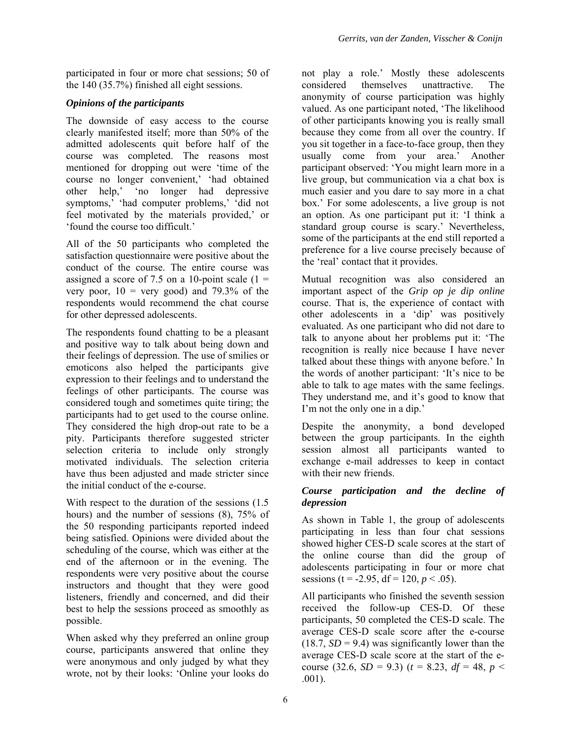participated in four or more chat sessions; 50 of the 140 (35.7%) finished all eight sessions.

# *Opinions of the participants*

The downside of easy access to the course clearly manifested itself; more than 50% of the admitted adolescents quit before half of the course was completed. The reasons most mentioned for dropping out were 'time of the course no longer convenient,' 'had obtained other help,' 'no longer had depressive symptoms,' 'had computer problems,' 'did not feel motivated by the materials provided,' or 'found the course too difficult.'

All of the 50 participants who completed the satisfaction questionnaire were positive about the conduct of the course. The entire course was assigned a score of 7.5 on a 10-point scale  $(1 =$ very poor,  $10 = \text{very good}$  and 79.3% of the respondents would recommend the chat course for other depressed adolescents.

The respondents found chatting to be a pleasant and positive way to talk about being down and their feelings of depression. The use of smilies or emoticons also helped the participants give expression to their feelings and to understand the feelings of other participants. The course was considered tough and sometimes quite tiring; the participants had to get used to the course online. They considered the high drop-out rate to be a pity. Participants therefore suggested stricter selection criteria to include only strongly motivated individuals. The selection criteria have thus been adjusted and made stricter since the initial conduct of the e-course.

With respect to the duration of the sessions  $(1.5)$ hours) and the number of sessions (8), 75% of the 50 responding participants reported indeed being satisfied. Opinions were divided about the scheduling of the course, which was either at the end of the afternoon or in the evening. The respondents were very positive about the course instructors and thought that they were good listeners, friendly and concerned, and did their best to help the sessions proceed as smoothly as possible.

When asked why they preferred an online group course, participants answered that online they were anonymous and only judged by what they wrote, not by their looks: 'Online your looks do

not play a role.' Mostly these adolescents considered themselves unattractive. The anonymity of course participation was highly valued. As one participant noted, 'The likelihood of other participants knowing you is really small because they come from all over the country. If you sit together in a face-to-face group, then they usually come from your area.' Another participant observed: 'You might learn more in a live group, but communication via a chat box is much easier and you dare to say more in a chat box.' For some adolescents, a live group is not an option. As one participant put it: 'I think a standard group course is scary.' Nevertheless, some of the participants at the end still reported a preference for a live course precisely because of the 'real' contact that it provides.

Mutual recognition was also considered an important aspect of the *Grip op je dip online* course. That is, the experience of contact with other adolescents in a 'dip' was positively evaluated. As one participant who did not dare to talk to anyone about her problems put it: 'The recognition is really nice because I have never talked about these things with anyone before.' In the words of another participant: 'It's nice to be able to talk to age mates with the same feelings. They understand me, and it's good to know that I'm not the only one in a dip.'

Despite the anonymity, a bond developed between the group participants. In the eighth session almost all participants wanted to exchange e-mail addresses to keep in contact with their new friends.

### *Course participation and the decline of depression*

As shown in Table 1, the group of adolescents participating in less than four chat sessions showed higher CES-D scale scores at the start of the online course than did the group of adolescents participating in four or more chat sessions (t = -2.95,  $df = 120$ ,  $p < .05$ ).

All participants who finished the seventh session received the follow-up CES-D. Of these participants, 50 completed the CES-D scale. The average CES-D scale score after the e-course  $(18.7, SD = 9.4)$  was significantly lower than the average CES-D scale score at the start of the ecourse (32.6, *SD* = 9.3) ( $t = 8.23$ ,  $df = 48$ ,  $p <$ .001).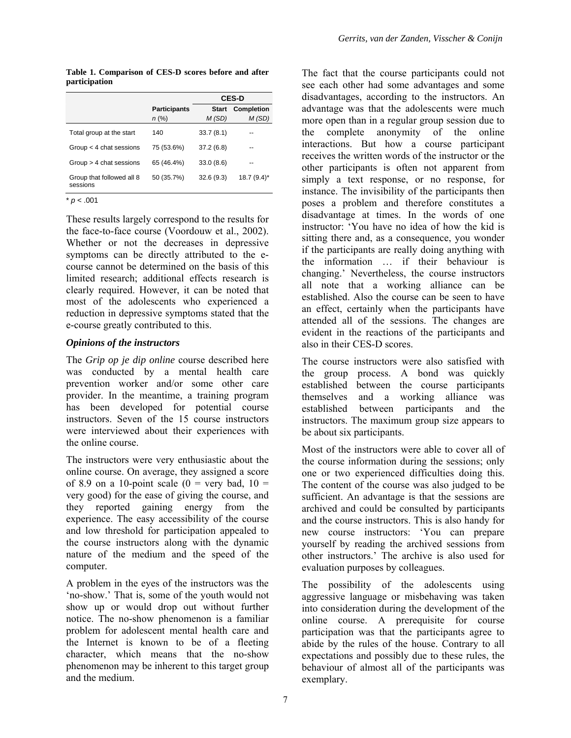|  |  | Gerrits, van der Zanden, Visscher & Conijn |  |
|--|--|--------------------------------------------|--|
|  |  |                                            |  |

|               | Table 1. Comparison of CES-D scores before and after |  |  |  |
|---------------|------------------------------------------------------|--|--|--|
| participation |                                                      |  |  |  |

|                                       |                     | <b>CES-D</b> |               |  |
|---------------------------------------|---------------------|--------------|---------------|--|
|                                       | <b>Participants</b> | <b>Start</b> | Completion    |  |
|                                       | $n (\%)$            | M(SD)        | M (SD)        |  |
| Total group at the start              | 140                 | 33.7(8.1)    |               |  |
| Group $<$ 4 chat sessions             | 75 (53.6%)          | 37.2(6.8)    |               |  |
| Group $>$ 4 chat sessions             | 65 (46.4%)          | 33.0(8.6)    |               |  |
| Group that followed all 8<br>sessions | 50 (35.7%)          | 32.6(9.3)    | $18.7(9.4)$ * |  |

 $* p < .001$ 

These results largely correspond to the results for the face-to-face course (Voordouw et al., 2002). Whether or not the decreases in depressive symptoms can be directly attributed to the ecourse cannot be determined on the basis of this limited research; additional effects research is clearly required. However, it can be noted that most of the adolescents who experienced a reduction in depressive symptoms stated that the e-course greatly contributed to this.

#### *Opinions of the instructors*

The *Grip op je dip online* course described here was conducted by a mental health care prevention worker and/or some other care provider. In the meantime, a training program has been developed for potential course instructors. Seven of the 15 course instructors were interviewed about their experiences with the online course.

The instructors were very enthusiastic about the online course. On average, they assigned a score of 8.9 on a 10-point scale ( $0 = \text{very bad}, 10 =$ very good) for the ease of giving the course, and they reported gaining energy from the experience. The easy accessibility of the course and low threshold for participation appealed to the course instructors along with the dynamic nature of the medium and the speed of the computer.

A problem in the eyes of the instructors was the 'no-show.' That is, some of the youth would not show up or would drop out without further notice. The no-show phenomenon is a familiar problem for adolescent mental health care and the Internet is known to be of a fleeting character, which means that the no-show phenomenon may be inherent to this target group and the medium.

The fact that the course participants could not see each other had some advantages and some disadvantages, according to the instructors. An advantage was that the adolescents were much more open than in a regular group session due to the complete anonymity of the online interactions. But how a course participant receives the written words of the instructor or the other participants is often not apparent from simply a text response, or no response, for instance. The invisibility of the participants then poses a problem and therefore constitutes a disadvantage at times. In the words of one instructor: 'You have no idea of how the kid is sitting there and, as a consequence, you wonder if the participants are really doing anything with the information … if their behaviour is changing.' Nevertheless, the course instructors all note that a working alliance can be established. Also the course can be seen to have an effect, certainly when the participants have attended all of the sessions. The changes are evident in the reactions of the participants and also in their CES-D scores.

The course instructors were also satisfied with the group process. A bond was quickly established between the course participants themselves and a working alliance was established between participants and the instructors. The maximum group size appears to be about six participants.

Most of the instructors were able to cover all of the course information during the sessions; only one or two experienced difficulties doing this. The content of the course was also judged to be sufficient. An advantage is that the sessions are archived and could be consulted by participants and the course instructors. This is also handy for new course instructors: 'You can prepare yourself by reading the archived sessions from other instructors.' The archive is also used for evaluation purposes by colleagues.

The possibility of the adolescents using aggressive language or misbehaving was taken into consideration during the development of the online course. A prerequisite for course participation was that the participants agree to abide by the rules of the house. Contrary to all expectations and possibly due to these rules, the behaviour of almost all of the participants was exemplary.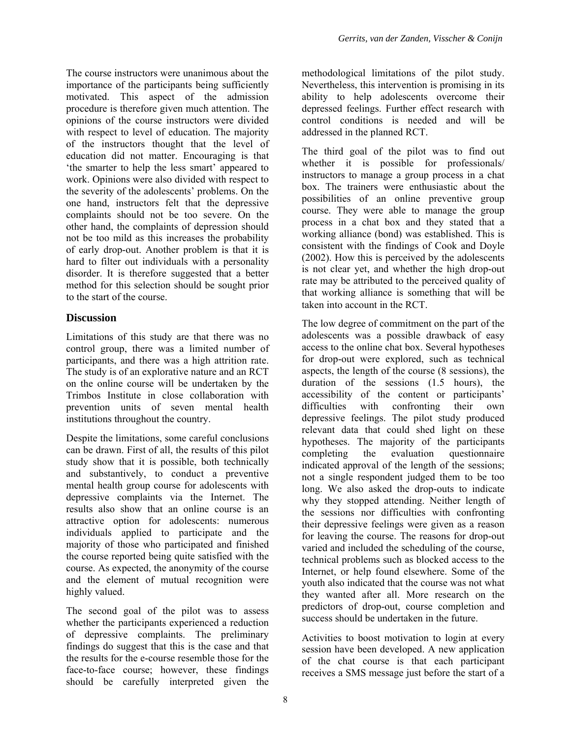The course instructors were unanimous about the importance of the participants being sufficiently motivated. This aspect of the admission procedure is therefore given much attention. The opinions of the course instructors were divided with respect to level of education. The majority of the instructors thought that the level of education did not matter. Encouraging is that 'the smarter to help the less smart' appeared to work. Opinions were also divided with respect to the severity of the adolescents' problems. On the one hand, instructors felt that the depressive complaints should not be too severe. On the other hand, the complaints of depression should not be too mild as this increases the probability of early drop-out. Another problem is that it is hard to filter out individuals with a personality disorder. It is therefore suggested that a better method for this selection should be sought prior to the start of the course.

# **Discussion**

Limitations of this study are that there was no control group, there was a limited number of participants, and there was a high attrition rate. The study is of an explorative nature and an RCT on the online course will be undertaken by the Trimbos Institute in close collaboration with prevention units of seven mental health institutions throughout the country.

Despite the limitations, some careful conclusions can be drawn. First of all, the results of this pilot study show that it is possible, both technically and substantively, to conduct a preventive mental health group course for adolescents with depressive complaints via the Internet. The results also show that an online course is an attractive option for adolescents: numerous individuals applied to participate and the majority of those who participated and finished the course reported being quite satisfied with the course. As expected, the anonymity of the course and the element of mutual recognition were highly valued.

The second goal of the pilot was to assess whether the participants experienced a reduction of depressive complaints. The preliminary findings do suggest that this is the case and that the results for the e-course resemble those for the face-to-face course; however, these findings should be carefully interpreted given the

methodological limitations of the pilot study. Nevertheless, this intervention is promising in its ability to help adolescents overcome their depressed feelings. Further effect research with control conditions is needed and will be addressed in the planned RCT.

The third goal of the pilot was to find out whether it is possible for professionals/ instructors to manage a group process in a chat box. The trainers were enthusiastic about the possibilities of an online preventive group course. They were able to manage the group process in a chat box and they stated that a working alliance (bond) was established. This is consistent with the findings of Cook and Doyle (2002). How this is perceived by the adolescents is not clear yet, and whether the high drop-out rate may be attributed to the perceived quality of that working alliance is something that will be taken into account in the RCT.

The low degree of commitment on the part of the adolescents was a possible drawback of easy access to the online chat box. Several hypotheses for drop-out were explored, such as technical aspects, the length of the course (8 sessions), the duration of the sessions (1.5 hours), the accessibility of the content or participants' difficulties with confronting their own depressive feelings. The pilot study produced relevant data that could shed light on these hypotheses. The majority of the participants completing the evaluation questionnaire indicated approval of the length of the sessions; not a single respondent judged them to be too long. We also asked the drop-outs to indicate why they stopped attending. Neither length of the sessions nor difficulties with confronting their depressive feelings were given as a reason for leaving the course. The reasons for drop-out varied and included the scheduling of the course, technical problems such as blocked access to the Internet, or help found elsewhere. Some of the youth also indicated that the course was not what they wanted after all. More research on the predictors of drop-out, course completion and success should be undertaken in the future.

Activities to boost motivation to login at every session have been developed. A new application of the chat course is that each participant receives a SMS message just before the start of a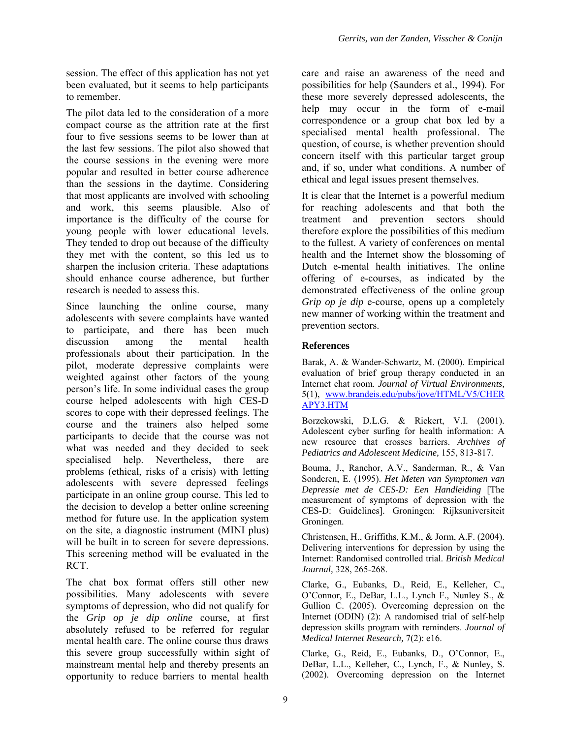session. The effect of this application has not yet been evaluated, but it seems to help participants to remember.

The pilot data led to the consideration of a more compact course as the attrition rate at the first four to five sessions seems to be lower than at the last few sessions. The pilot also showed that the course sessions in the evening were more popular and resulted in better course adherence than the sessions in the daytime. Considering that most applicants are involved with schooling and work, this seems plausible. Also of importance is the difficulty of the course for young people with lower educational levels. They tended to drop out because of the difficulty they met with the content, so this led us to sharpen the inclusion criteria. These adaptations should enhance course adherence, but further research is needed to assess this.

Since launching the online course, many adolescents with severe complaints have wanted to participate, and there has been much discussion among the mental health professionals about their participation. In the pilot, moderate depressive complaints were weighted against other factors of the young person's life. In some individual cases the group course helped adolescents with high CES-D scores to cope with their depressed feelings. The course and the trainers also helped some participants to decide that the course was not what was needed and they decided to seek specialised help. Nevertheless, there are problems (ethical, risks of a crisis) with letting adolescents with severe depressed feelings participate in an online group course. This led to the decision to develop a better online screening method for future use. In the application system on the site, a diagnostic instrument (MINI plus) will be built in to screen for severe depressions. This screening method will be evaluated in the RCT.

The chat box format offers still other new possibilities. Many adolescents with severe symptoms of depression, who did not qualify for the *Grip op je dip online* course, at first absolutely refused to be referred for regular mental health care. The online course thus draws this severe group successfully within sight of mainstream mental help and thereby presents an opportunity to reduce barriers to mental health

care and raise an awareness of the need and possibilities for help (Saunders et al., 1994). For these more severely depressed adolescents, the help may occur in the form of e-mail correspondence or a group chat box led by a specialised mental health professional. The question, of course, is whether prevention should concern itself with this particular target group and, if so, under what conditions. A number of ethical and legal issues present themselves.

It is clear that the Internet is a powerful medium for reaching adolescents and that both the treatment and prevention sectors should therefore explore the possibilities of this medium to the fullest. A variety of conferences on mental health and the Internet show the blossoming of Dutch e-mental health initiatives. The online offering of e-courses, as indicated by the demonstrated effectiveness of the online group *Grip op je dip* e-course, opens up a completely new manner of working within the treatment and prevention sectors.

### **References**

Barak, A. & Wander-Schwartz, M. (2000). Empirical evaluation of brief group therapy conducted in an Internet chat room. *Journal of Virtual Environments,* 5(1), [www.brandeis.edu/pubs/jove/HTML/V5/CHER](http://www.brandeis.edu/pubs/jove/HTML/V5/CHER%0BAPY3.HTM) [APY3.HTM](http://www.brandeis.edu/pubs/jove/HTML/V5/CHER%0BAPY3.HTM) 

Borzekowski, D.L.G. & Rickert, V.I. (2001). Adolescent cyber surfing for health information: A new resource that crosses barriers. *Archives of Pediatrics and Adolescent Medicine,* 155, 813-817.

Bouma, J., Ranchor, A.V., Sanderman, R., & Van Sonderen, E. (1995). *Het Meten van Symptomen van Depressie met de CES-D: Een Handleiding* [The measurement of symptoms of depression with the CES-D: Guidelines]. Groningen: Rijksuniversiteit Groningen.

Christensen, H., Griffiths, K.M., & Jorm, A.F. (2004). Delivering interventions for depression by using the Internet: Randomised controlled trial. *British Medical Journal,* 328, 265-268.

Clarke, G., Eubanks, D., Reid, E., Kelleher, C., O'Connor, E., DeBar, L.L., Lynch F., Nunley S., & Gullion C. (2005). Overcoming depression on the Internet (ODIN) (2): A randomised trial of self-help depression skills program with reminders. *Journal of Medical Internet Research,* 7(2): e16.

Clarke, G., Reid, E., Eubanks, D., O'Connor, E., DeBar, L.L., Kelleher, C., Lynch, F., & Nunley, S. (2002). Overcoming depression on the Internet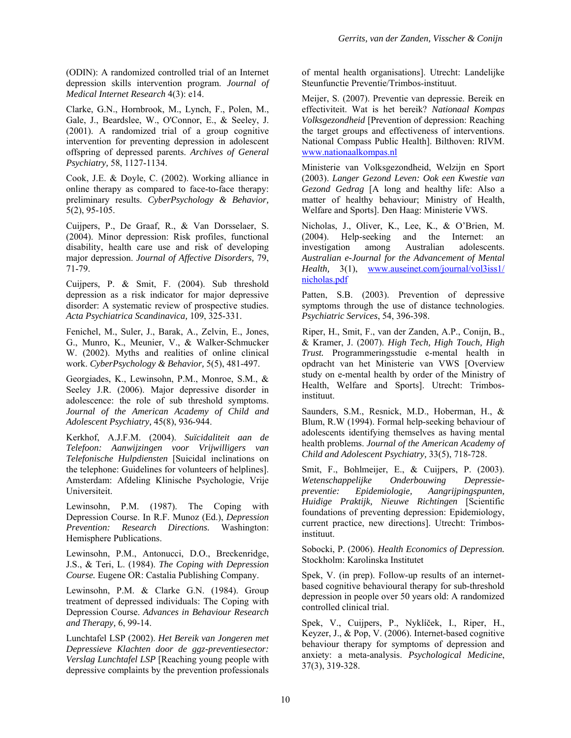(ODIN): A randomized controlled trial of an Internet depression skills intervention program. *Journal of Medical Internet Research* 4(3): e14.

Clarke, G.N., Hornbrook, M., Lynch, F., Polen, M., Gale, J., Beardslee, W., O'Connor, E., & Seeley, J. (2001). A randomized trial of a group cognitive intervention for preventing depression in adolescent offspring of depressed parents. *Archives of General Psychiatry,* 58, 1127-1134.

Cook, J.E. & Doyle, C. (2002). Working alliance in online therapy as compared to face-to-face therapy: preliminary results. *CyberPsychology & Behavior,*  5(2), 95-105.

Cuijpers, P., De Graaf, R., & Van Dorsselaer, S. (2004). Minor depression: Risk profiles, functional disability, health care use and risk of developing major depression. *Journal of Affective Disorders,* 79, 71-79.

Cuijpers, P. & Smit, F. (2004). Sub threshold depression as a risk indicator for major depressive disorder: A systematic review of prospective studies. *Acta Psychiatrica Scandinavica,* 109, 325-331.

Fenichel, M., Suler, J., Barak, A., Zelvin, E., Jones, G., Munro, K., Meunier, V., & Walker-Schmucker W. (2002). Myths and realities of online clinical work. *CyberPsychology & Behavior,* 5(5), 481-497.

Georgiades, K., Lewinsohn, P.M., Monroe, S.M., & Seeley J.R. (2006). Major depressive disorder in adolescence: the role of sub threshold symptoms. *Journal of the American Academy of Child and Adolescent Psychiatry,* 45(8), 936-944.

Kerkhof, A.J.F.M. (2004). *Suïcidaliteit aan de Telefoon: Aanwijzingen voor Vrijwilligers van Telefonische Hulpdiensten* [Suicidal inclinations on the telephone: Guidelines for volunteers of helplines]. Amsterdam: Afdeling Klinische Psychologie, Vrije Universiteit.

Lewinsohn, P.M. (1987). The Coping with Depression Course. In R.F. Munoz (Ed.), *Depression Prevention: Research Directions.* Washington: Hemisphere Publications.

Lewinsohn, P.M., Antonucci, D.O., Breckenridge, J.S., & Teri, L. (1984). *The Coping with Depression Course.* Eugene OR: Castalia Publishing Company.

Lewinsohn, P.M. & Clarke G.N. (1984). Group treatment of depressed individuals: The Coping with Depression Course. *Advances in Behaviour Research and Therapy,* 6, 99-14.

Lunchtafel LSP (2002). *Het Bereik van Jongeren met Depressieve Klachten door de ggz-preventiesector: Verslag Lunchtafel LSP* [Reaching young people with depressive complaints by the prevention professionals

of mental health organisations]. Utrecht: Landelijke Steunfunctie Preventie/Trimbos-instituut.

Meijer, S. (2007). Preventie van depressie. Bereik en effectiviteit. Wat is het bereik? *Nationaal Kompas Volksgezondheid* [Prevention of depression: Reaching the target groups and effectiveness of interventions. National Compass Public Health]. Bilthoven: RIVM. [www.nationaalkompas.nl](http://www.nationaalkompas.nl/)

Ministerie van Volksgezondheid, Welzijn en Sport (2003). *Langer Gezond Leven: Ook een Kwestie van Gezond Gedrag* [A long and healthy life: Also a matter of healthy behaviour; Ministry of Health, Welfare and Sports]. Den Haag: Ministerie VWS.

Nicholas, J., Oliver, K., Lee, K., & O'Brien, M. (2004). Help-seeking and the Internet: an investigation among Australian adolescents. *Australian e-Journal for the Advancement of Mental Health,* 3(1), [www.auseinet.com/journal/vol3iss1/](http://www.auseinet.com/journal/vol3iss1/%0Bnicholas.pdf) [nicholas.pdf](http://www.auseinet.com/journal/vol3iss1/%0Bnicholas.pdf)

Patten, S.B. (2003). Prevention of depressive symptoms through the use of distance technologies. *Psychiatric Services*, 54, 396-398.

Riper, H., Smit, F., van der Zanden, A.P., Conijn, B., & Kramer, J. (2007). *High Tech, High Touch, High Trust.* Programmeringsstudie e-mental health in opdracht van het Ministerie van VWS [Overview study on e-mental health by order of the Ministry of Health, Welfare and Sports]. Utrecht: Trimbosinstituut.

Saunders, S.M., Resnick, M.D., Hoberman, H., & Blum, R.W (1994). Formal help-seeking behaviour of adolescents identifying themselves as having mental health problems. *Journal of the American Academy of Child and Adolescent Psychiatry,* 33(5), 718-728.

Smit, F., Bohlmeijer, E., & Cuijpers, P. (2003). *Wetenschappelijke Onderbouwing Depressiepreventie: Epidemiologie, Aangrijpingspunten, Huidige Praktijk, Nieuwe Richtingen* [Scientific foundations of preventing depression: Epidemiology, current practice, new directions]. Utrecht: Trimbosinstituut.

Sobocki, P. (2006). *Health Economics of Depression.*  Stockholm: Karolinska Institutet

Spek, V. (in prep). Follow-up results of an internetbased cognitive behavioural therapy for sub-threshold depression in people over 50 years old: A randomized controlled clinical trial.

Spek, V., Cuijpers, P., Nyklíček, I., Riper, H., Keyzer, J., & Pop, V. (2006). Internet-based cognitive behaviour therapy for symptoms of depression and anxiety: a meta-analysis. *Psychological Medicine*, 37(3), 319-328.